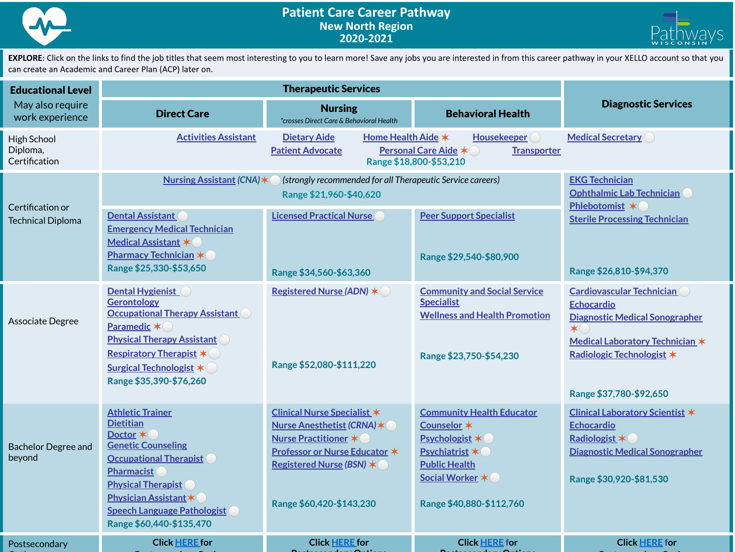



EXPLORE: Click on the links to find the job titles that seem most interesting to you to learn more! Save any jobs you are interested in from this career pathway in your XELLO account so that you can create an Academic and Career Plan (ACP) later on.

| <b>Educational Level</b>                                         |                                                                                                                                                                                                                                                                    |                                                                                                                                                                                                  |                                                                                                                                                                   |                                                                                                                                                                                               |
|------------------------------------------------------------------|--------------------------------------------------------------------------------------------------------------------------------------------------------------------------------------------------------------------------------------------------------------------|--------------------------------------------------------------------------------------------------------------------------------------------------------------------------------------------------|-------------------------------------------------------------------------------------------------------------------------------------------------------------------|-----------------------------------------------------------------------------------------------------------------------------------------------------------------------------------------------|
| May also require<br>work experience                              | <b>Direct Care</b>                                                                                                                                                                                                                                                 | <b>Nursing</b><br>*crosses Direct Care & Behavioral Health                                                                                                                                       | <b>Behavioral Health</b>                                                                                                                                          | <b>Diagnostic Services</b>                                                                                                                                                                    |
| <b>High School</b><br>Diploma,<br>Certification                  | <b>Activities Assistant</b>                                                                                                                                                                                                                                        | <b>Dietary Aide</b><br>Home Health Aide *<br><b>Patient Advocate</b>                                                                                                                             | <b>Housekeeper</b><br><b>Personal Care Aide *</b><br><b>Transporter</b><br>Range \$18,800-\$53,210                                                                | <b>Medical Secretary</b>                                                                                                                                                                      |
| Certification or<br><b>Technical Diploma</b><br>Associate Degree | <b>Nursing Assistant (CNA)</b>                                                                                                                                                                                                                                     | <b>EKG Technician</b><br><b>Ophthalmic Lab Technician</b><br>Phlebotomist *                                                                                                                      |                                                                                                                                                                   |                                                                                                                                                                                               |
|                                                                  | <b>Dental Assistant</b><br><b>Emergency Medical Technician</b><br><b>Medical Assistant *</b><br><b>Pharmacy Technician *</b><br>Range \$25,330-\$53,650                                                                                                            | <b>Licensed Practical Nurse</b><br>Range \$34,560-\$63,360                                                                                                                                       | <b>Peer Support Specialist</b><br>Range \$29,540-\$80,900                                                                                                         | <b>Sterile Processing Technician</b><br>Range \$26,810-\$94,370                                                                                                                               |
|                                                                  | <b>Dental Hygienist</b><br><b>Gerontology</b><br><b>Occupational Therapy Assistant</b><br>Paramedic *<br><b>Physical Therapy Assistant</b><br><b>Respiratory Therapist *</b><br><b>Surgical Technologist *</b><br>Range \$35,390-\$76,260                          | Registered Nurse (ADN) *<br>Range \$52,080-\$111,220                                                                                                                                             | <b>Community and Social Service</b><br><b>Specialist</b><br><b>Wellness and Health Promotion</b><br>Range \$23,750-\$54,230                                       | <b>Cardiovascular Technician</b><br><b>Echocardio</b><br>Diagnostic Medical Sonographer<br>$\star$<br>Medical Laboratory Technician *<br>Radiologic Technologist *<br>Range \$37,780-\$92,650 |
| <b>Bachelor Degree and</b><br>beyond                             | <b>Athletic Trainer</b><br><b>Dietitian</b><br>Doctor *<br><b>Genetic Counseling</b><br><b>Occupational Therapist</b><br>Pharmacist<br><b>Physical Therapist</b><br><b>Physician Assistant *</b><br><b>Speech Language Pathologist</b><br>Range \$60,440-\$135,470 | <b>Clinical Nurse Specialist *</b><br>Nurse Anesthetist (CRNA) *<br>Nurse Practitioner *<br><b>Professor or Nurse Educator *</b><br>Registered Nurse (BSN) $\star$ (<br>Range \$60,420-\$143,230 | <b>Community Health Educator</b><br>Counselor *<br><b>Psychologist *</b><br>Psychiatrist *<br><b>Public Health</b><br>Social Worker *<br>Range \$40,880-\$112,760 | Clinical Laboratory Scientist *<br><b>Echocardio</b><br>Radiologist *<br><b>Diagnostic Medical Sonographer</b><br>Range \$30,920-\$81,530                                                     |
| Postsecondary                                                    | <b>Click HERE</b> for                                                                                                                                                                                                                                              | <b>Click HERE for</b>                                                                                                                                                                            | <b>Click HERE for</b>                                                                                                                                             | <b>Click HERE for</b>                                                                                                                                                                         |